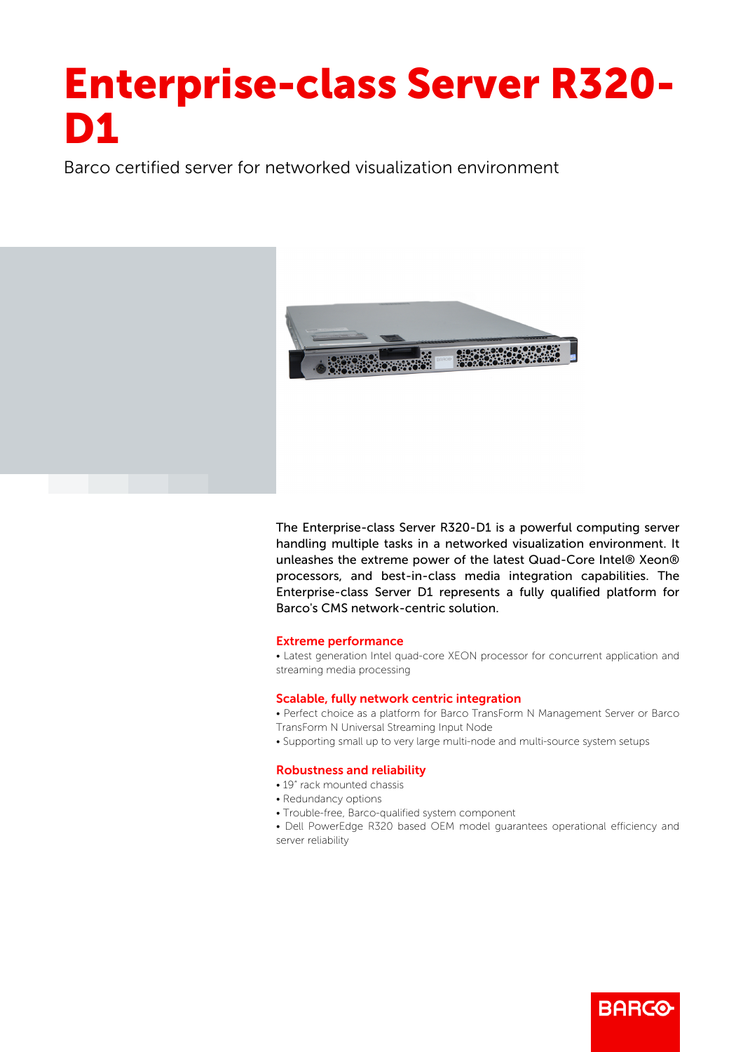# Enterprise-class Server R320- D1

Barco certified server for networked visualization environment



The Enterprise-class Server R320-D1 is a powerful computing server handling multiple tasks in a networked visualization environment. It unleashes the extreme power of the latest Quad-Core Intel® Xeon® processors, and best-in-class media integration capabilities. The Enterprise-class Server D1 represents a fully qualified platform for Barco's CMS network-centric solution.

#### Extreme performance

• Latest generation Intel quad-core XEON processor for concurrent application and streaming media processing

#### Scalable, fully network centric integration

- Perfect choice as a platform for Barco TransForm N Management Server or Barco
- TransForm N Universal Streaming Input Node
- Supporting small up to very large multi-node and multi-source system setups

## Robustness and reliability

- 19" rack mounted chassis
- Redundancy options
- Trouble-free, Barco-qualified system component
- Dell PowerEdge R320 based OEM model guarantees operational efficiency and server reliability

**BARG**